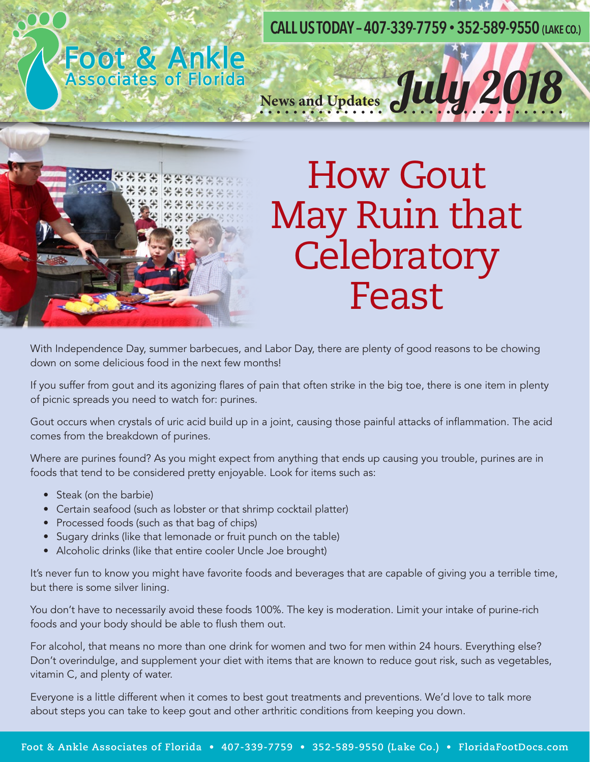**CALL US TODAY – 407-339-7759 • 352-589-9550 (LAKE CO.)**

News and Updates July 2018

# Foot & Ankle



#### How Gout May Ruin that **Celebratory** Feast

With Independence Day, summer barbecues, and Labor Day, there are plenty of good reasons to be chowing down on some delicious food in the next few months!

If you suffer from gout and its agonizing flares of pain that often strike in the big toe, there is one item in plenty of picnic spreads you need to watch for: purines.

Gout occurs when crystals of uric acid build up in a joint, causing those painful attacks of inflammation. The acid comes from the breakdown of purines.

Where are purines found? As you might expect from anything that ends up causing you trouble, purines are in foods that tend to be considered pretty enjoyable. Look for items such as:

- Steak (on the barbie)
- Certain seafood (such as lobster or that shrimp cocktail platter)
- Processed foods (such as that bag of chips)
- Sugary drinks (like that lemonade or fruit punch on the table)
- Alcoholic drinks (like that entire cooler Uncle Joe brought)

It's never fun to know you might have favorite foods and beverages that are capable of giving you a terrible time, but there is some silver lining.

You don't have to necessarily avoid these foods 100%. The key is moderation. Limit your intake of purine-rich foods and your body should be able to flush them out.

For alcohol, that means no more than one drink for women and two for men within 24 hours. Everything else? Don't overindulge, and supplement your diet with items that are known to reduce gout risk, such as vegetables, vitamin C, and plenty of water.

Everyone is a little different when it comes to best gout treatments and preventions. We'd love to talk more about steps you can take to keep gout and other arthritic conditions from keeping you down.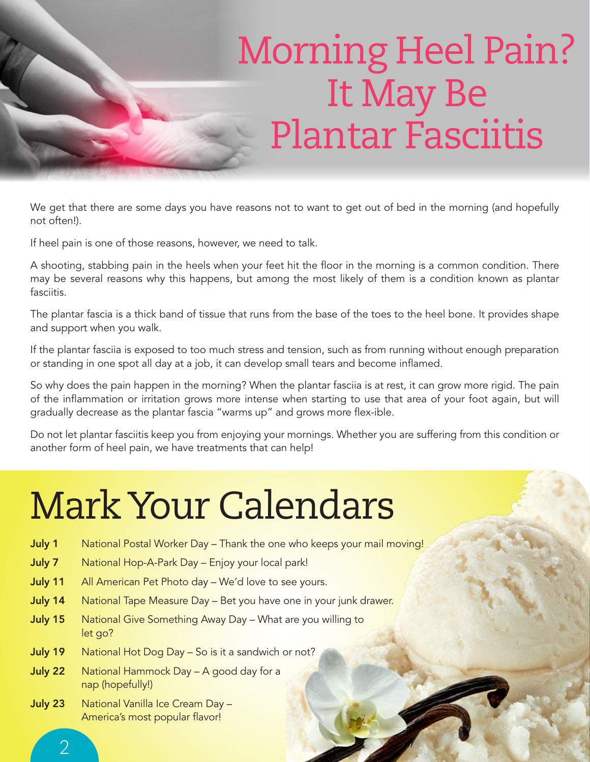### Morning Heel Pain? It May Be Plantar Fasciitis

We get that there are some days you have reasons not to want to get out of bed in the morning (and hopefully not often!).

If heel pain is one of those reasons, however, we need to talk.

A shooting, stabbing pain in the heels when your feet hit the floor in the morning is a common condition. There may be several reasons why this happens, but among the most likely of them is a condition known as plantar fasciitis.

The plantar fascia is a thick band of tissue that runs from the base of the toes to the heel bone. It provides shape and support when you walk.

If the plantar fasciia is exposed to too much stress and tension, such as from running without enough preparation or standing in one spot all day at a job, it can develop small tears and become inflamed.

So why does the pain happen in the morning? When the plantar fasciia is at rest, it can grow more rigid. The pain of the inflammation or irritation grows more intense when starting to use that area of your foot again, but will gradually decrease as the plantar fascia "warms up" and grows more flex-ible.

Do not let plantar fasciitis keep you from enjoying your mornings. Whether you are suffering from this condition or another form of heel pain, we have treatments that can help!

### Mark Your Calendars

- July 1 National Postal Worker Day Thank the one who keeps your mail moving!
- July 7 National Hop-A-Park Day Enjoy your local park!
- July 11 All American Pet Photo day We'd love to see yours.
- July 14 National Tape Measure Day Bet you have one in your junk drawer.
- July 15 National Give Something Away Day What are you willing to let go?
- July 19 National Hot Dog Day So is it a sandwich or not?
- July 22 National Hammock Day A good day for a nap (hopefully!)
- July 23 National Vanilla Ice Cream Day -America's most popular flavor!

 $\overline{\mathcal{L}}$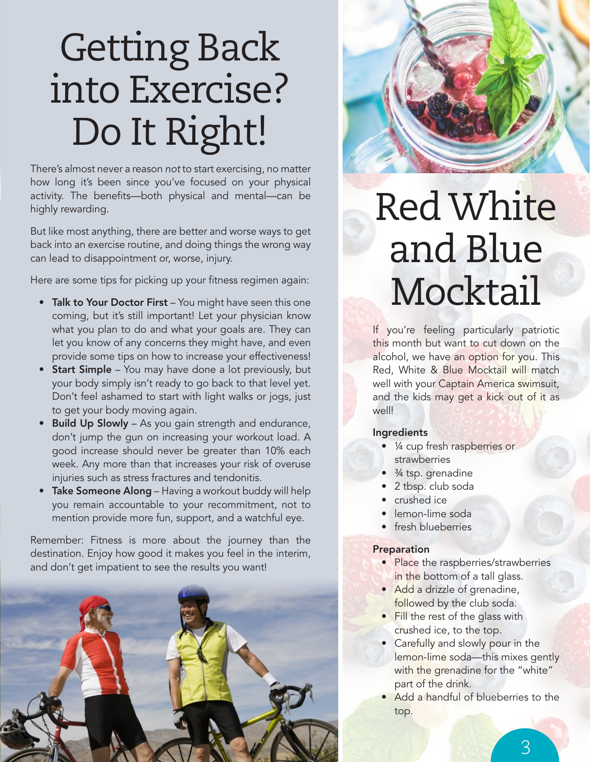### Getting Back into Exercise? Do It Right!

There's almost never a reason *not* to start exercising, no matter how long it's been since you've focused on your physical activity. The benefits-both physical and mental-can be highly rewarding.

But like most anything, there are better and worse ways to get back into an exercise routine, and doing things the wrong way can lead to disappointment or, worse, injury.

Here are some tips for picking up your fitness regimen again:

- Talk to Your Doctor First You might have seen this one coming, but it's still important! Let your physician know what you plan to do and what your goals are. They can let you know of any concerns they might have, and even provide some tips on how to increase your effectiveness!
- **Start Simple** You may have done a lot previously, but your body simply isn't ready to go back to that level yet. Don't feel ashamed to start with light walks or jogs, just to get your body moving again.
- Build Up Slowly As you gain strength and endurance, don't jump the gun on increasing your workout load. A good increase should never be greater than 10% each week. Any more than that increases your risk of overuse injuries such as stress fractures and tendonitis.
- Take Someone Along Having a workout buddy will help you remain accountable to your recommitment, not to mention provide more fun, support, and a watchful eye.

Remember: Fitness is more about the journey than the destination. Enjoy how good it makes you feel in the interim, and don't get impatient to see the results you want!



### Red White and Blue Mocktail

If you're feeling particularly patriotic this month but want to cut down on the alcohol, we have an option for you. This Red, White & Blue Mocktail will match well with your Captain America swimsuit, and the kids may get a kick out of it as well!

#### Ingredients

- ¼ cup fresh raspberries or strawberries
- <sup>3</sup>/<sub>4</sub> tsp. grenadine
- 2 tbsp. club soda
- crushed ice
- lemon-lime soda
- fresh blueberries

#### Preparation

- Place the raspberries/strawberries in the bottom of a tall glass.
- Add a drizzle of grenadine, followed by the club soda.
- Fill the rest of the glass with crushed ice, to the top.
- Carefully and slowly pour in the lemon-lime soda—this mixes gently with the grenadine for the "white" part of the drink.
- Add a handful of blueberries to the top.

3